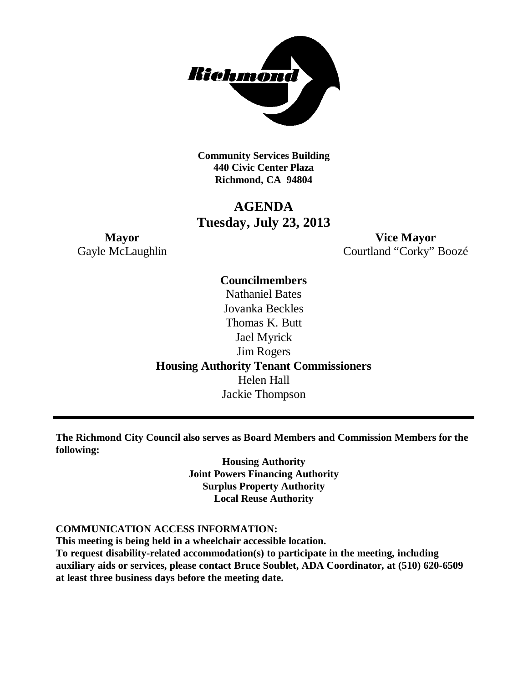

**Community Services Building 440 Civic Center Plaza Richmond, CA 94804**

### **AGENDA Tuesday, July 23, 2013**

**Mayor Vice Mayor** Gayle McLaughlin Courtland "Corky" Boozé

> **Councilmembers** Nathaniel Bates Jovanka Beckles Thomas K. Butt Jael Myrick Jim Rogers **Housing Authority Tenant Commissioners** Helen Hall Jackie Thompson

**The Richmond City Council also serves as Board Members and Commission Members for the following:**

> **Housing Authority Joint Powers Financing Authority Surplus Property Authority Local Reuse Authority**

#### **COMMUNICATION ACCESS INFORMATION:**

**This meeting is being held in a wheelchair accessible location.**

**To request disability-related accommodation(s) to participate in the meeting, including auxiliary aids or services, please contact Bruce Soublet, ADA Coordinator, at (510) 620-6509 at least three business days before the meeting date.**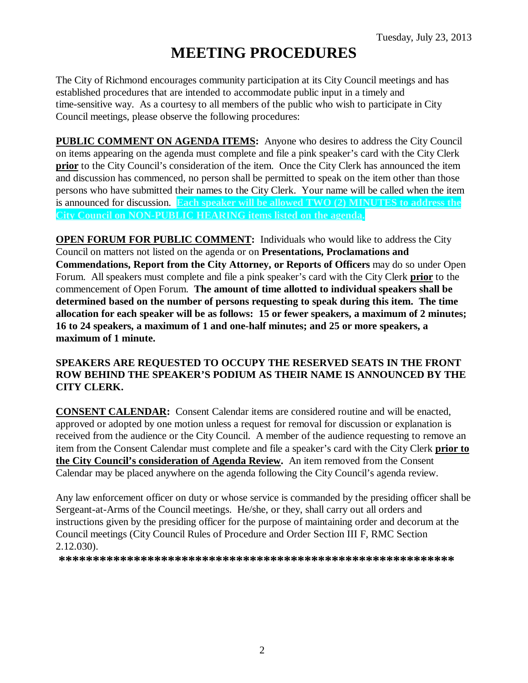# **MEETING PROCEDURES**

The City of Richmond encourages community participation at its City Council meetings and has established procedures that are intended to accommodate public input in a timely and time-sensitive way. As a courtesy to all members of the public who wish to participate in City Council meetings, please observe the following procedures:

**PUBLIC COMMENT ON AGENDA ITEMS:** Anyone who desires to address the City Council on items appearing on the agenda must complete and file a pink speaker's card with the City Clerk **prior** to the City Council's consideration of the item. Once the City Clerk has announced the item and discussion has commenced, no person shall be permitted to speak on the item other than those persons who have submitted their names to the City Clerk. Your name will be called when the item is announced for discussion. **Each speaker will be allowed TWO (2) MINUTES to address the City Council on NON-PUBLIC HEARING items listed on the agenda.**

**OPEN FORUM FOR PUBLIC COMMENT:** Individuals who would like to address the City Council on matters not listed on the agenda or on **Presentations, Proclamations and Commendations, Report from the City Attorney, or Reports of Officers** may do so under Open Forum. All speakers must complete and file a pink speaker's card with the City Clerk **prior** to the commencement of Open Forum. **The amount of time allotted to individual speakers shall be determined based on the number of persons requesting to speak during this item. The time allocation for each speaker will be as follows: 15 or fewer speakers, a maximum of 2 minutes; 16 to 24 speakers, a maximum of 1 and one-half minutes; and 25 or more speakers, a maximum of 1 minute.**

### **SPEAKERS ARE REQUESTED TO OCCUPY THE RESERVED SEATS IN THE FRONT ROW BEHIND THE SPEAKER'S PODIUM AS THEIR NAME IS ANNOUNCED BY THE CITY CLERK.**

**CONSENT CALENDAR:** Consent Calendar items are considered routine and will be enacted, approved or adopted by one motion unless a request for removal for discussion or explanation is received from the audience or the City Council. A member of the audience requesting to remove an item from the Consent Calendar must complete and file a speaker's card with the City Clerk **prior to the City Council's consideration of Agenda Review.** An item removed from the Consent Calendar may be placed anywhere on the agenda following the City Council's agenda review.

Any law enforcement officer on duty or whose service is commanded by the presiding officer shall be Sergeant-at-Arms of the Council meetings. He/she, or they, shall carry out all orders and instructions given by the presiding officer for the purpose of maintaining order and decorum at the Council meetings (City Council Rules of Procedure and Order Section III F, RMC Section 2.12.030).

**\*\*\*\*\*\*\*\*\*\*\*\*\*\*\*\*\*\*\*\*\*\*\*\*\*\*\*\*\*\*\*\*\*\*\*\*\*\*\*\*\*\*\*\*\*\*\*\*\*\*\*\*\*\*\*\*\*\***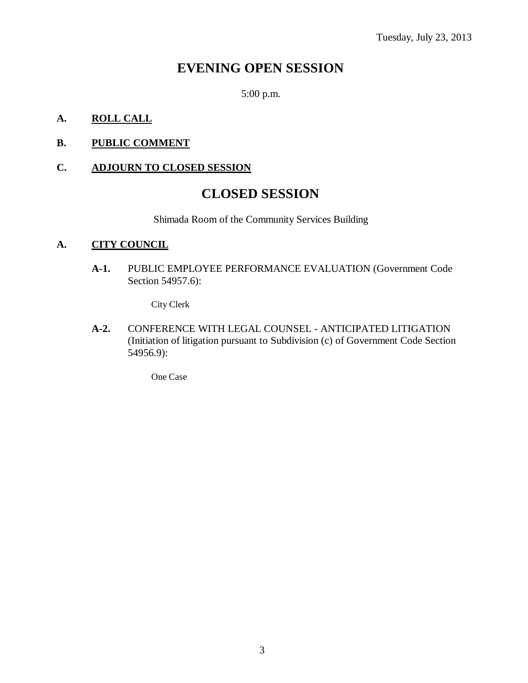### **EVENING OPEN SESSION**

5:00 p.m.

### **A. ROLL CALL**

### **B. PUBLIC COMMENT**

### **C. ADJOURN TO CLOSED SESSION**

### **CLOSED SESSION**

Shimada Room of the Community Services Building

#### **A. CITY COUNCIL**

**A-1.** PUBLIC EMPLOYEE PERFORMANCE EVALUATION (Government Code Section 54957.6):

City Clerk

**A-2.** CONFERENCE WITH LEGAL COUNSEL - ANTICIPATED LITIGATION (Initiation of litigation pursuant to Subdivision (c) of Government Code Section 54956.9):

One Case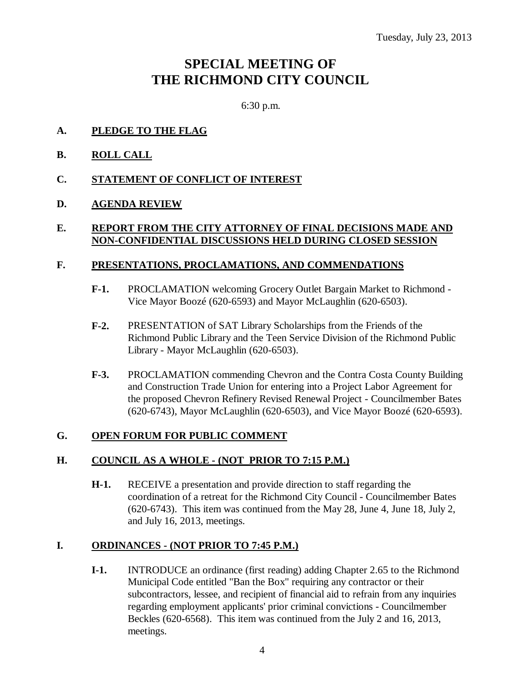## **SPECIAL MEETING OF THE RICHMOND CITY COUNCIL**

6:30 p.m.

- **A. PLEDGE TO THE FLAG**
- **B. ROLL CALL**
- **C. STATEMENT OF CONFLICT OF INTEREST**

### **D. AGENDA REVIEW**

### **E. REPORT FROM THE CITY ATTORNEY OF FINAL DECISIONS MADE AND NON-CONFIDENTIAL DISCUSSIONS HELD DURING CLOSED SESSION**

### **F. PRESENTATIONS, PROCLAMATIONS, AND COMMENDATIONS**

- **F-1.** PROCLAMATION welcoming Grocery Outlet Bargain Market to Richmond Vice Mayor Boozé (620-6593) and Mayor McLaughlin (620-6503).
- **F-2.** PRESENTATION of SAT Library Scholarships from the Friends of the Richmond Public Library and the Teen Service Division of the Richmond Public Library - Mayor McLaughlin (620-6503).
- **F-3.** PROCLAMATION commending Chevron and the Contra Costa County Building and Construction Trade Union for entering into a Project Labor Agreement for the proposed Chevron Refinery Revised Renewal Project - Councilmember Bates (620-6743), Mayor McLaughlin (620-6503), and Vice Mayor Boozé (620-6593).

### **G. OPEN FORUM FOR PUBLIC COMMENT**

### **H. COUNCIL AS A WHOLE - (NOT PRIOR TO 7:15 P.M.)**

**H-1.** RECEIVE a presentation and provide direction to staff regarding the coordination of a retreat for the Richmond City Council - Councilmember Bates (620-6743). This item was continued from the May 28, June 4, June 18, July 2, and July 16, 2013, meetings.

### **I. ORDINANCES - (NOT PRIOR TO 7:45 P.M.)**

**I-1.** INTRODUCE an ordinance (first reading) adding Chapter 2.65 to the Richmond Municipal Code entitled "Ban the Box" requiring any contractor or their subcontractors, lessee, and recipient of financial aid to refrain from any inquiries regarding employment applicants' prior criminal convictions - Councilmember Beckles (620-6568). This item was continued from the July 2 and 16, 2013, meetings.